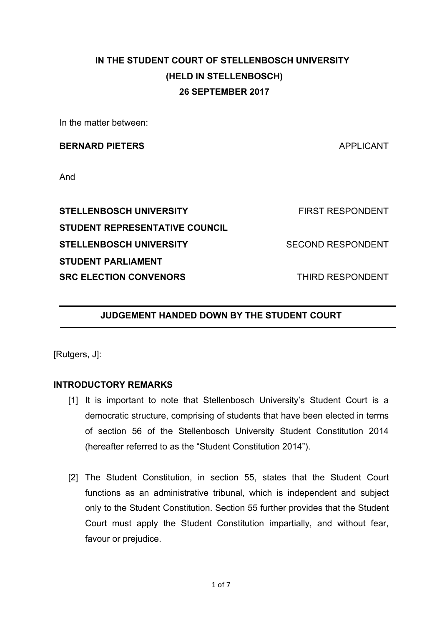# **IN THE STUDENT COURT OF STELLENBOSCH UNIVERSITY (HELD IN STELLENBOSCH) 26 SEPTEMBER 2017**

In the matter between:

#### **BERNARD PIETERS** APPLICANT

And

**STELLENBOSCH UNIVERSITY** THE RESPONDENT **STUDENT REPRESENTATIVE COUNCIL STELLENBOSCH UNIVERSITY SECOND RESPONDENT STUDENT PARLIAMENT SRC ELECTION CONVENORS THIRD RESPONDENT** 

## **JUDGEMENT HANDED DOWN BY THE STUDENT COURT**

[Rutgers, J]:

#### **INTRODUCTORY REMARKS**

- [1] It is important to note that Stellenbosch University's Student Court is a democratic structure, comprising of students that have been elected in terms of section 56 of the Stellenbosch University Student Constitution 2014 (hereafter referred to as the "Student Constitution 2014").
- [2] The Student Constitution, in section 55, states that the Student Court functions as an administrative tribunal, which is independent and subject only to the Student Constitution. Section 55 further provides that the Student Court must apply the Student Constitution impartially, and without fear, favour or prejudice.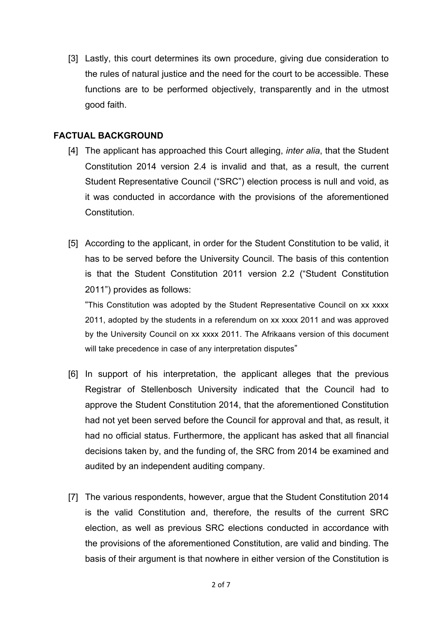[3] Lastly, this court determines its own procedure, giving due consideration to the rules of natural justice and the need for the court to be accessible. These functions are to be performed objectively, transparently and in the utmost good faith.

## **FACTUAL BACKGROUND**

- [4] The applicant has approached this Court alleging, *inter alia*, that the Student Constitution 2014 version 2.4 is invalid and that, as a result, the current Student Representative Council ("SRC") election process is null and void, as it was conducted in accordance with the provisions of the aforementioned Constitution.
- [5] According to the applicant, in order for the Student Constitution to be valid, it has to be served before the University Council. The basis of this contention is that the Student Constitution 2011 version 2.2 ("Student Constitution 2011") provides as follows:

"This Constitution was adopted by the Student Representative Council on xx xxxx 2011, adopted by the students in a referendum on xx xxxx 2011 and was approved by the University Council on xx xxxx 2011. The Afrikaans version of this document will take precedence in case of any interpretation disputes"

- [6] In support of his interpretation, the applicant alleges that the previous Registrar of Stellenbosch University indicated that the Council had to approve the Student Constitution 2014, that the aforementioned Constitution had not yet been served before the Council for approval and that, as result, it had no official status. Furthermore, the applicant has asked that all financial decisions taken by, and the funding of, the SRC from 2014 be examined and audited by an independent auditing company.
- [7] The various respondents, however, argue that the Student Constitution 2014 is the valid Constitution and, therefore, the results of the current SRC election, as well as previous SRC elections conducted in accordance with the provisions of the aforementioned Constitution, are valid and binding. The basis of their argument is that nowhere in either version of the Constitution is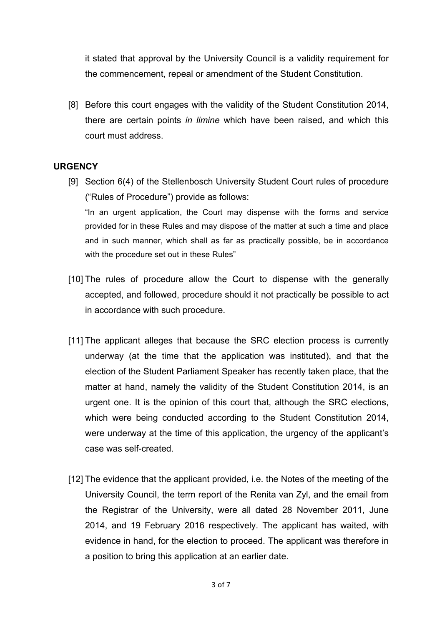it stated that approval by the University Council is a validity requirement for the commencement, repeal or amendment of the Student Constitution.

[8] Before this court engages with the validity of the Student Constitution 2014, there are certain points *in limine* which have been raised, and which this court must address.

## **URGENCY**

- [9] Section 6(4) of the Stellenbosch University Student Court rules of procedure ("Rules of Procedure") provide as follows: "In an urgent application, the Court may dispense with the forms and service provided for in these Rules and may dispose of the matter at such a time and place and in such manner, which shall as far as practically possible, be in accordance with the procedure set out in these Rules"
- [10] The rules of procedure allow the Court to dispense with the generally accepted, and followed, procedure should it not practically be possible to act in accordance with such procedure.
- [11] The applicant alleges that because the SRC election process is currently underway (at the time that the application was instituted), and that the election of the Student Parliament Speaker has recently taken place, that the matter at hand, namely the validity of the Student Constitution 2014, is an urgent one. It is the opinion of this court that, although the SRC elections, which were being conducted according to the Student Constitution 2014, were underway at the time of this application, the urgency of the applicant's case was self-created.
- [12] The evidence that the applicant provided, i.e. the Notes of the meeting of the University Council, the term report of the Renita van Zyl, and the email from the Registrar of the University, were all dated 28 November 2011, June 2014, and 19 February 2016 respectively. The applicant has waited, with evidence in hand, for the election to proceed. The applicant was therefore in a position to bring this application at an earlier date.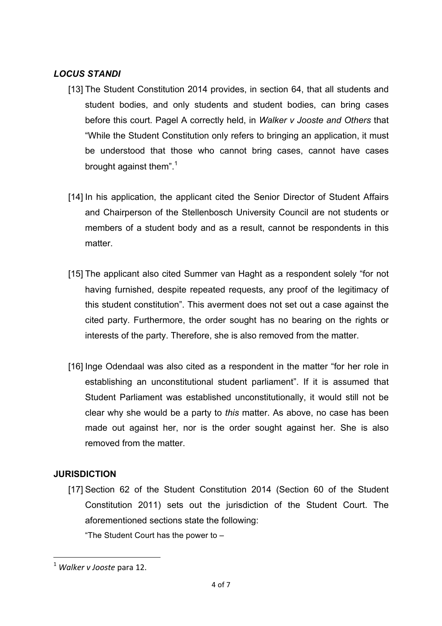## *LOCUS STANDI*

- [13] The Student Constitution 2014 provides, in section 64, that all students and student bodies, and only students and student bodies, can bring cases before this court. Pagel A correctly held, in *Walker v Jooste and Others* that "While the Student Constitution only refers to bringing an application, it must be understood that those who cannot bring cases, cannot have cases brought against them".<sup>1</sup>
- [14] In his application, the applicant cited the Senior Director of Student Affairs and Chairperson of the Stellenbosch University Council are not students or members of a student body and as a result, cannot be respondents in this matter.
- [15] The applicant also cited Summer van Haght as a respondent solely "for not having furnished, despite repeated requests, any proof of the legitimacy of this student constitution". This averment does not set out a case against the cited party. Furthermore, the order sought has no bearing on the rights or interests of the party. Therefore, she is also removed from the matter.
- [16] Inge Odendaal was also cited as a respondent in the matter "for her role in establishing an unconstitutional student parliament". If it is assumed that Student Parliament was established unconstitutionally, it would still not be clear why she would be a party to *this* matter. As above, no case has been made out against her, nor is the order sought against her. She is also removed from the matter.

# **JURISDICTION**

[17] Section 62 of the Student Constitution 2014 (Section 60 of the Student Constitution 2011) sets out the jurisdiction of the Student Court. The aforementioned sections state the following:

"The Student Court has the power to –

<u> 1989 - Johann Barn, mars ann an t-Amhain an t-Amhain an t-Amhain an t-Amhain an t-Amhain an t-Amhain an t-Amh</u>

<sup>&</sup>lt;sup>1</sup> Walker v Jooste para 12.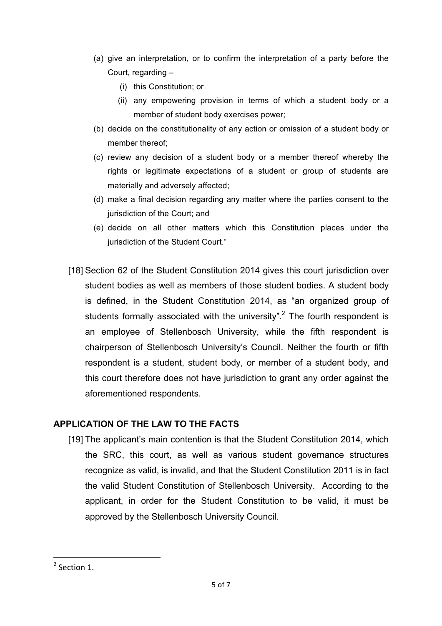- (a) give an interpretation, or to confirm the interpretation of a party before the Court, regarding –
	- (i) this Constitution; or
	- (ii) any empowering provision in terms of which a student body or a member of student body exercises power;
- (b) decide on the constitutionality of any action or omission of a student body or member thereof;
- (c) review any decision of a student body or a member thereof whereby the rights or legitimate expectations of a student or group of students are materially and adversely affected;
- (d) make a final decision regarding any matter where the parties consent to the jurisdiction of the Court; and
- (e) decide on all other matters which this Constitution places under the jurisdiction of the Student Court."
- [18] Section 62 of the Student Constitution 2014 gives this court jurisdiction over student bodies as well as members of those student bodies. A student body is defined, in the Student Constitution 2014, as "an organized group of students formally associated with the university".<sup>2</sup> The fourth respondent is an employee of Stellenbosch University, while the fifth respondent is chairperson of Stellenbosch University's Council. Neither the fourth or fifth respondent is a student, student body, or member of a student body, and this court therefore does not have jurisdiction to grant any order against the aforementioned respondents.

## **APPLICATION OF THE LAW TO THE FACTS**

[19] The applicant's main contention is that the Student Constitution 2014, which the SRC, this court, as well as various student governance structures recognize as valid, is invalid, and that the Student Constitution 2011 is in fact the valid Student Constitution of Stellenbosch University. According to the applicant, in order for the Student Constitution to be valid, it must be approved by the Stellenbosch University Council.

<u> 1989 - Johann Barn, mars ann an t-Amhain an t-Amhain an t-Amhain an t-Amhain an t-Amhain an t-Amhain an t-Amh</u>

 $2$  Section 1.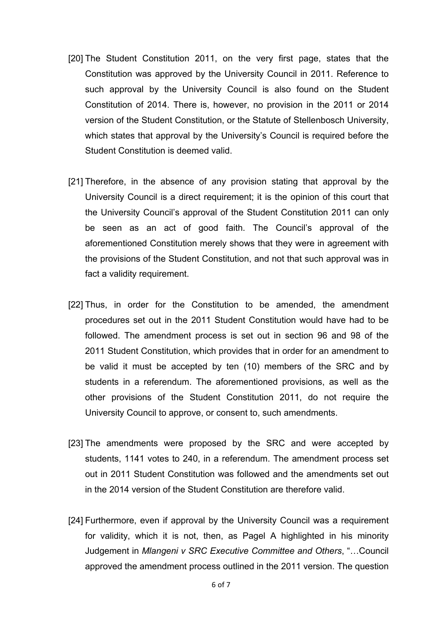- [20] The Student Constitution 2011, on the very first page, states that the Constitution was approved by the University Council in 2011. Reference to such approval by the University Council is also found on the Student Constitution of 2014. There is, however, no provision in the 2011 or 2014 version of the Student Constitution, or the Statute of Stellenbosch University, which states that approval by the University's Council is required before the Student Constitution is deemed valid.
- [21] Therefore, in the absence of any provision stating that approval by the University Council is a direct requirement; it is the opinion of this court that the University Council's approval of the Student Constitution 2011 can only be seen as an act of good faith. The Council's approval of the aforementioned Constitution merely shows that they were in agreement with the provisions of the Student Constitution, and not that such approval was in fact a validity requirement.
- [22] Thus, in order for the Constitution to be amended, the amendment procedures set out in the 2011 Student Constitution would have had to be followed. The amendment process is set out in section 96 and 98 of the 2011 Student Constitution, which provides that in order for an amendment to be valid it must be accepted by ten (10) members of the SRC and by students in a referendum. The aforementioned provisions, as well as the other provisions of the Student Constitution 2011, do not require the University Council to approve, or consent to, such amendments.
- [23] The amendments were proposed by the SRC and were accepted by students, 1141 votes to 240, in a referendum. The amendment process set out in 2011 Student Constitution was followed and the amendments set out in the 2014 version of the Student Constitution are therefore valid.
- [24] Furthermore, even if approval by the University Council was a requirement for validity, which it is not, then, as Pagel A highlighted in his minority Judgement in *Mlangeni v SRC Executive Committee and Others*, "…Council approved the amendment process outlined in the 2011 version. The question